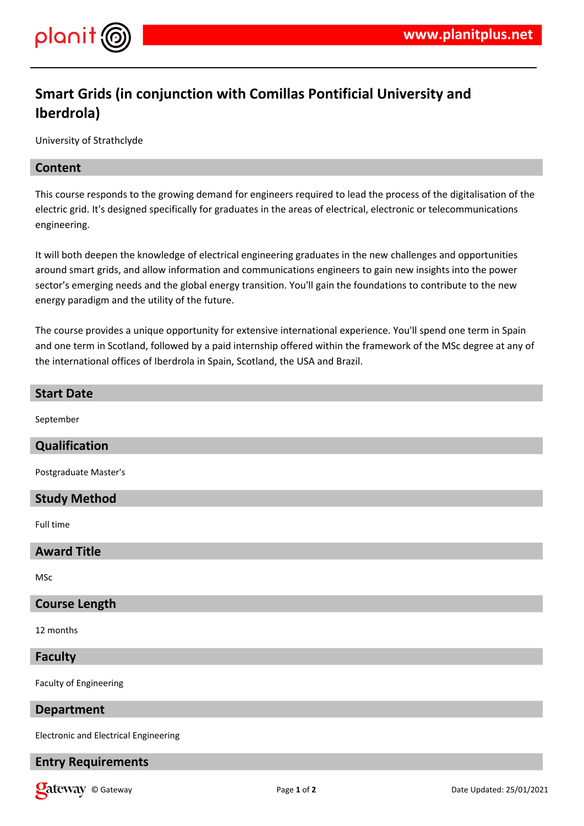

# **Smart Grids (in conjunction with Comillas Pontificial University and Iberdrola)**

University of Strathclyde

# **Content**

This course responds to the growing demand for engineers required to lead the process of the digitalisation of the electric grid. It's designed specifically for graduates in the areas of electrical, electronic or telecommunications engineering.

It will both deepen the knowledge of electrical engineering graduates in the new challenges and opportunities around smart grids, and allow information and communications engineers to gain new insights into the power sector's emerging needs and the global energy transition. You'll gain the foundations to contribute to the new energy paradigm and the utility of the future.

The course provides a unique opportunity for extensive international experience. You'll spend one term in Spain and one term in Scotland, followed by a paid internship offered within the framework of the MSc degree at any of the international offices of Iberdrola in Spain, Scotland, the USA and Brazil.

#### **Start Date**

September

### **Qualification**

Postgraduate Master's

#### **Study Method**

Full time

#### **Award Title**

MSc

# **Course Length**

#### 12 months

# **Faculty**

Faculty of Engineering

#### **Department**

Electronic and Electrical Engineering

# **Entry Requirements**